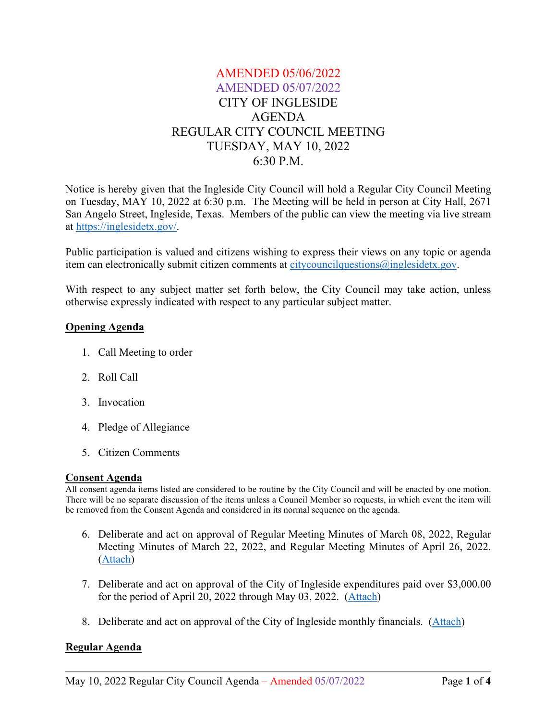# AMENDED 05/06/2022 AMENDED 05/07/2022 CITY OF INGLESIDE AGENDA REGULAR CITY COUNCIL MEETING TUESDAY, MAY 10, 2022 6:30 P.M.

Notice is hereby given that the Ingleside City Council will hold a Regular City Council Meeting on Tuesday, MAY 10, 2022 at 6:30 p.m. The Meeting will be held in person at City Hall, 2671 San Angelo Street, Ingleside, Texas. Members of the public can view the meeting via live stream at [https://inglesidetx.gov/.](https://inglesidetx.gov/)

Public participation is valued and citizens wishing to express their views on any topic or agenda item can electronically submit citizen comments at [citycouncilquestions@inglesidetx.gov.](mailto:citycouncilquestions@inglesidetx.gov)

With respect to any subject matter set forth below, the City Council may take action, unless otherwise expressly indicated with respect to any particular subject matter.

### **Opening Agenda**

- 1. Call Meeting to order
- 2. Roll Call
- 3. Invocation
- 4. Pledge of Allegiance
- 5. Citizen Comments

### **Consent Agenda**

All consent agenda items listed are considered to be routine by the City Council and will be enacted by one motion. There will be no separate discussion of the items unless a Council Member so requests, in which event the item will be removed from the Consent Agenda and considered in its normal sequence on the agenda.

- 6. Deliberate and act on approval of Regular Meeting Minutes of March 08, 2022, Regular Meeting Minutes of March 22, 2022, and Regular Meeting Minutes of April 26, 2022. [\(Attach\)](/DocumentCenter/View/710/Item-6-PDF)
- 7. Deliberate and act on approval of the City of Ingleside expenditures paid over \$3,000.00 for the period of April 20, 2022 through May 03, 2022. [\(Attach\)](/DocumentCenter/View/711/Item-7-PDF)
- 8. Deliberate and act on approval of the City of Ingleside monthly financials. [\(Attach\)](/DocumentCenter/View/712/Item-8-PDF)

# **Regular Agenda**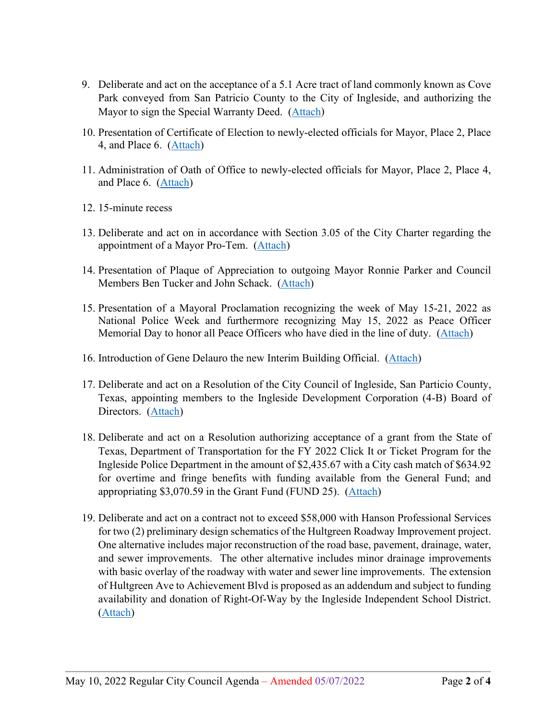- 9. Deliberate and act on the acceptance of a 5.1 Acre tract of land commonly known as Cove Park conveyed from San Patricio County to the City of Ingleside, and authorizing the Mayor to sign the Special Warranty Deed. [\(Attach\)](/DocumentCenter/View/713/Item-9-PDF)
- 10. Presentation of Certificate of Election to newly-elected officials for Mayor, Place 2, Place 4, and Place 6. [\(Attach\)](/DocumentCenter/View/714/Item-10-PDF)
- 11. Administration of Oath of Office to newly-elected officials for Mayor, Place 2, Place 4, and Place 6. [\(Attach\)](/DocumentCenter/View/715/Item-11-PDF)
- 12. 15-minute recess
- 13. Deliberate and act on in accordance with Section 3.05 of the City Charter regarding the appointment of a Mayor Pro-Tem. [\(Attach\)](/DocumentCenter/View/716/Item-13-PDF)
- 14. Presentation of Plaque of Appreciation to outgoing Mayor Ronnie Parker and Council Members Ben Tucker and John Schack. [\(Attach\)](/DocumentCenter/View/717/Item-14-PDF)
- 15. Presentation of a Mayoral Proclamation recognizing the week of May 15-21, 2022 as National Police Week and furthermore recognizing May 15, 2022 as Peace Officer Memorial Day to honor all Peace Officers who have died in the line of duty. [\(Attach\)](/DocumentCenter/View/718/Item-15-PDF)
- 16. Introduction of Gene Delauro the new Interim Building Official. [\(Attach\)](/DocumentCenter/View/719/Item-16-PDF)
- 17. Deliberate and act on a Resolution of the City Council of Ingleside, San Particio County, Texas, appointing members to the Ingleside Development Corporation (4-B) Board of Directors. [\(Attach\)](/DocumentCenter/View/720/Item-17-PDF)
- 18. Deliberate and act on a Resolution authorizing acceptance of a grant from the State of Texas, Department of Transportation for the FY 2022 Click It or Ticket Program for the Ingleside Police Department in the amount of \$2,435.67 with a City cash match of \$634.92 for overtime and fringe benefits with funding available from the General Fund; and appropriating \$3,070.59 in the Grant Fund (FUND 25). [\(Attach\)](/DocumentCenter/View/721/Item-18-PDF)
- 19. Deliberate and act on a contract not to exceed \$58,000 with Hanson Professional Services for two (2) preliminary design schematics of the Hultgreen Roadway Improvement project. One alternative includes major reconstruction of the road base, pavement, drainage, water, and sewer improvements. The other alternative includes minor drainage improvements with basic overlay of the roadway with water and sewer line improvements. The extension of Hultgreen Ave to Achievement Blvd is proposed as an addendum and subject to funding availability and donation of Right-Of-Way by the Ingleside Independent School District. [\(Attach\)](/DocumentCenter/View/722/Item-19-PDF)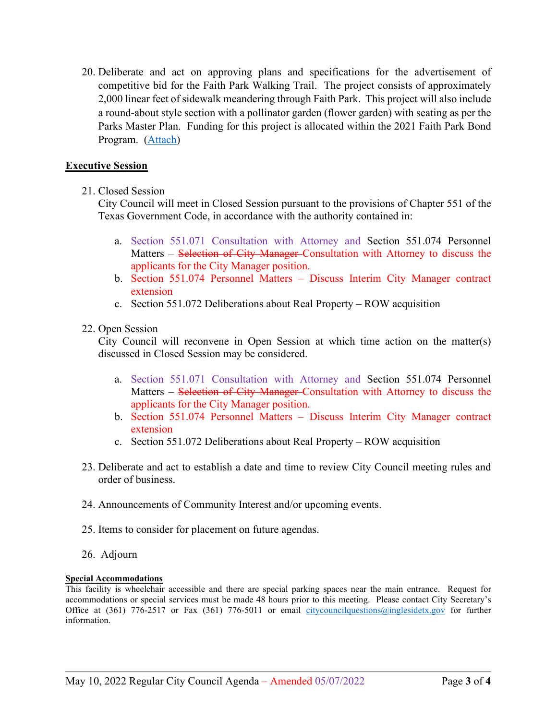20. Deliberate and act on approving plans and specifications for the advertisement of competitive bid for the Faith Park Walking Trail. The project consists of approximately 2,000 linear feet of sidewalk meandering through Faith Park. This project will also include a round-about style section with a pollinator garden (flower garden) with seating as per the Parks Master Plan. Funding for this project is allocated within the 2021 Faith Park Bond Program. [\(Attach\)](/DocumentCenter/View/723/Item-20-PDF)

## **Executive Session**

21. Closed Session

City Council will meet in Closed Session pursuant to the provisions of Chapter 551 of the Texas Government Code, in accordance with the authority contained in:

- a. Section 551.071 Consultation with Attorney and Section 551.074 Personnel Matters – Selection of City Manager-Consultation with Attorney to discuss the applicants for the City Manager position.
- b. Section 551.074 Personnel Matters Discuss Interim City Manager contract extension
- c. Section 551.072 Deliberations about Real Property ROW acquisition
- 22. Open Session

City Council will reconvene in Open Session at which time action on the matter(s) discussed in Closed Session may be considered.

- a. Section 551.071 Consultation with Attorney and Section 551.074 Personnel Matters – Selection of City Manager Consultation with Attorney to discuss the applicants for the City Manager position.
- b. Section 551.074 Personnel Matters Discuss Interim City Manager contract extension
- c. Section 551.072 Deliberations about Real Property ROW acquisition
- 23. Deliberate and act to establish a date and time to review City Council meeting rules and order of business.
- 24. Announcements of Community Interest and/or upcoming events.
- 25. Items to consider for placement on future agendas.
- 26. Adjourn

#### **Special Accommodations**

This facility is wheelchair accessible and there are special parking spaces near the main entrance. Request for accommodations or special services must be made 48 hours prior to this meeting. Please contact City Secretary's Office at (361) 776-2517 or Fax (361) 776-5011 or email [citycouncilquestions@inglesidetx.gov](mailto:citycouncilquestions@inglesidetx.gov) for further information.